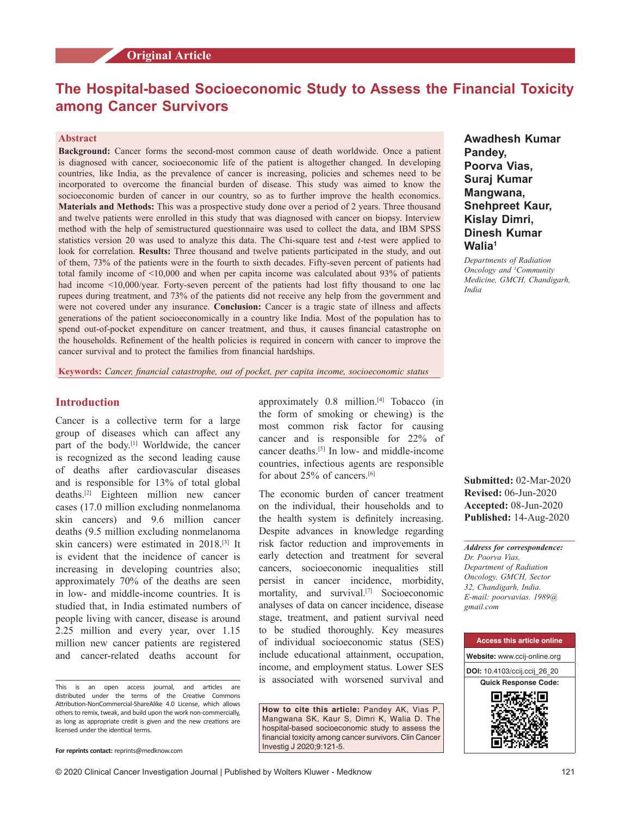# **The Hospital‑based Socioeconomic Study to Assess the Financial Toxicity among Cancer Survivors**

## **Abstract**

**Background:** Cancer forms the second‑most common cause of death worldwide. Once a patient is diagnosed with cancer, socioeconomic life of the patient is altogether changed. In developing countries, like India, as the prevalence of cancer is increasing, policies and schemes need to be incorporated to overcome the financial burden of disease. This study was aimed to know the socioeconomic burden of cancer in our country, so as to further improve the health economics. **Materials and Methods:** This was a prospective study done over a period of 2 years. Three thousand and twelve patients were enrolled in this study that was diagnosed with cancer on biopsy. Interview method with the help of semistructured questionnaire was used to collect the data, and IBM SPSS statistics version 20 was used to analyze this data. The Chi–square test and *t*-test were applied to look for correlation. **Results:** Three thousand and twelve patients participated in the study, and out of them, 73% of the patients were in the fourth to sixth decades. Fifty-seven percent of patients had total family income of <10,000 and when per capita income was calculated about 93% of patients had income <10,000/year. Forty-seven percent of the patients had lost fifty thousand to one lac rupees during treatment, and 73% of the patients did not receive any help from the government and were not covered under any insurance. **Conclusion:** Cancer is a tragic state of illness and affects generations of the patient socioeconomically in a country like India. Most of the population has to spend out-of-pocket expenditure on cancer treatment, and thus, it causes financial catastrophe on the households. Refinement of the health policies is required in concern with cancer to improve the cancer survival and to protect the families from financial hardships.

**Keywords:** *Cancer, financial catastrophe, out of pocket, per capita income, socioeconomic status*

# **Introduction**

Cancer is a collective term for a large group of diseases which can affect any part of the body.[1] Worldwide, the cancer is recognized as the second leading cause of deaths after cardiovascular diseases and is responsible for 13% of total global deaths.[2] Eighteen million new cancer cases (17.0 million excluding nonmelanoma skin cancers) and 9.6 million cancer deaths (9.5 million excluding nonmelanoma skin cancers) were estimated in 2018.[3] It is evident that the incidence of cancer is increasing in developing countries also; approximately 70% of the deaths are seen in low‑ and middle‑income countries. It is studied that, in India estimated numbers of people living with cancer, disease is around 2.25 million and every year, over 1.15 million new cancer patients are registered and cancer‑related deaths account for

This is an open access journal, and articles are distributed under the terms of the Creative Commons Attribution‑NonCommercial‑ShareAlike 4.0 License, which allows others to remix, tweak, and build upon the work non‑commercially, as long as appropriate credit is given and the new creations are licensed under the identical terms.

approximately 0.8 million.[4] Tobacco (in the form of smoking or chewing) is the most common risk factor for causing cancer and is responsible for 22% of cancer deaths.<sup>[5]</sup> In low- and middle-income countries, infectious agents are responsible for about 25% of cancers.[6]

The economic burden of cancer treatment on the individual, their households and to the health system is definitely increasing. Despite advances in knowledge regarding risk factor reduction and improvements in early detection and treatment for several cancers, socioeconomic inequalities still persist in cancer incidence, morbidity, mortality, and survival.<sup>[7]</sup> Socioeconomic analyses of data on cancer incidence, disease stage, treatment, and patient survival need to be studied thoroughly. Key measures of individual socioeconomic status (SES) include educational attainment, occupation, income, and employment status. Lower SES is associated with worsened survival and

**How to cite this article:** Pandey AK, Vias P, Mangwana SK, Kaur S, Dimri K, Walia D. The hospital-based socioeconomic study to assess the financial toxicity among cancer survivors. Clin Cancer Investig J 2020;9:121-5.

**Awadhesh Kumar Pandey, Poorva Vias, Suraj Kumar Mangwana, Snehpreet Kaur, Kislay Dimri, Dinesh Kumar Walia1**

*Departments of Radiation Oncology and 1 Community Medicine, GMCH, Chandigarh, India*

**Submitted:** 02-Mar-2020 **Revised:** 06-Jun-2020 **Accepted:** 08-Jun-2020 **Published:** 14-Aug-2020

*Address for correspondence: Dr. Poorva Vias, Department of Radiation Oncology, GMCH, Sector 32, Chandigarh, India. E‑mail: poorvavias. 1989@ gmail.com*



**For reprints contact:** reprints@medknow.com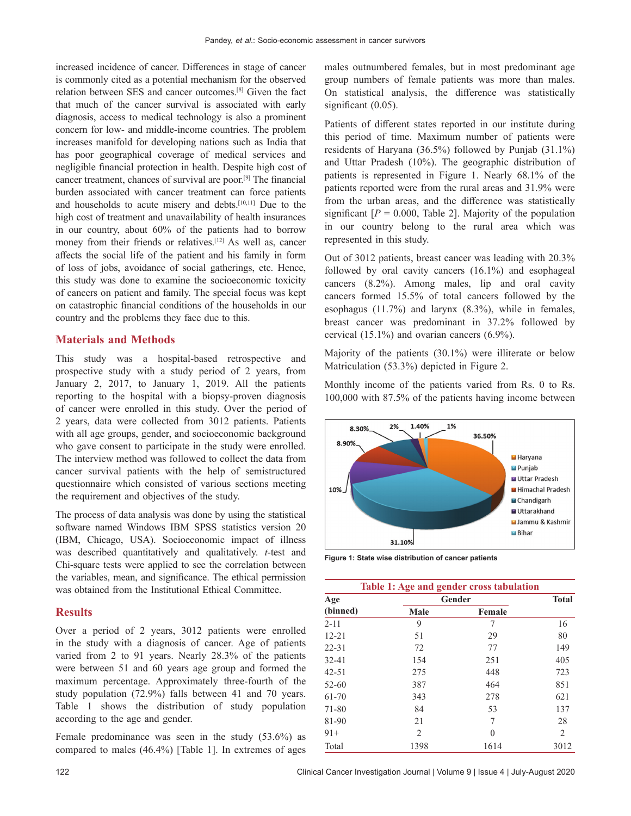increased incidence of cancer. Differences in stage of cancer is commonly cited as a potential mechanism for the observed relation between SES and cancer outcomes.[8] Given the fact that much of the cancer survival is associated with early diagnosis, access to medical technology is also a prominent concern for low‑ and middle‑income countries. The problem increases manifold for developing nations such as India that has poor geographical coverage of medical services and negligible financial protection in health. Despite high cost of cancer treatment, chances of survival are poor.[9] The financial burden associated with cancer treatment can force patients and households to acute misery and debts.[10,11] Due to the high cost of treatment and unavailability of health insurances in our country, about 60% of the patients had to borrow money from their friends or relatives.<sup>[12]</sup> As well as, cancer affects the social life of the patient and his family in form of loss of jobs, avoidance of social gatherings, etc. Hence, this study was done to examine the socioeconomic toxicity of cancers on patient and family. The special focus was kept on catastrophic financial conditions of the households in our country and the problems they face due to this.

## **Materials and Methods**

This study was a hospital-based retrospective and prospective study with a study period of 2 years, from January 2, 2017, to January 1, 2019. All the patients reporting to the hospital with a biopsy-proven diagnosis of cancer were enrolled in this study. Over the period of 2 years, data were collected from 3012 patients. Patients with all age groups, gender, and socioeconomic background who gave consent to participate in the study were enrolled. The interview method was followed to collect the data from cancer survival patients with the help of semistructured questionnaire which consisted of various sections meeting the requirement and objectives of the study.

The process of data analysis was done by using the statistical software named Windows IBM SPSS statistics version 20 (IBM, Chicago, USA). Socioeconomic impact of illness was described quantitatively and qualitatively. *t*-test and Chi‑square tests were applied to see the correlation between the variables, mean, and significance. The ethical permission was obtained from the Institutional Ethical Committee.

# **Results**

Over a period of 2 years, 3012 patients were enrolled in the study with a diagnosis of cancer. Age of patients varied from 2 to 91 years. Nearly 28.3% of the patients were between 51 and 60 years age group and formed the maximum percentage. Approximately three-fourth of the study population (72.9%) falls between 41 and 70 years. Table 1 shows the distribution of study population according to the age and gender.

Female predominance was seen in the study (53.6%) as compared to males (46.4%) [Table 1]. In extremes of ages males outnumbered females, but in most predominant age group numbers of female patients was more than males. On statistical analysis, the difference was statistically significant (0.05).

Patients of different states reported in our institute during this period of time. Maximum number of patients were residents of Haryana (36.5%) followed by Punjab (31.1%) and Uttar Pradesh (10%). The geographic distribution of patients is represented in Figure 1. Nearly 68.1% of the patients reported were from the rural areas and 31.9% were from the urban areas, and the difference was statistically significant  $[P = 0.000,$  Table 2]. Majority of the population in our country belong to the rural area which was represented in this study.

Out of 3012 patients, breast cancer was leading with 20.3% followed by oral cavity cancers (16.1%) and esophageal cancers (8.2%). Among males, lip and oral cavity cancers formed 15.5% of total cancers followed by the esophagus (11.7%) and larynx (8.3%), while in females, breast cancer was predominant in 37.2% followed by cervical (15.1%) and ovarian cancers (6.9%).

Majority of the patients (30.1%) were illiterate or below Matriculation (53.3%) depicted in Figure 2.

Monthly income of the patients varied from Rs. 0 to Rs. 100,000 with 87.5% of the patients having income between



**Figure 1: State wise distribution of cancer patients**

| Table 1: Age and gender cross tabulation |        |        |              |  |
|------------------------------------------|--------|--------|--------------|--|
| Age                                      | Gender |        | <b>Total</b> |  |
| (binned)                                 | Male   | Female |              |  |
| $2 - 11$                                 | 9      | 7      | 16           |  |
| $12 - 21$                                | 51     | 29     | 80           |  |
| $22 - 31$                                | 72     | 77     | 149          |  |
| $32 - 41$                                | 154    | 251    | 405          |  |
| $42 - 51$                                | 275    | 448    | 723          |  |
| 52-60                                    | 387    | 464    | 851          |  |
| 61-70                                    | 343    | 278    | 621          |  |
| 71-80                                    | 84     | 53     | 137          |  |
| 81-90                                    | 21     | 7      | 28           |  |
| $91+$                                    | 2      | 0      | 2            |  |
| Total                                    | 1398   | 1614   | 3012         |  |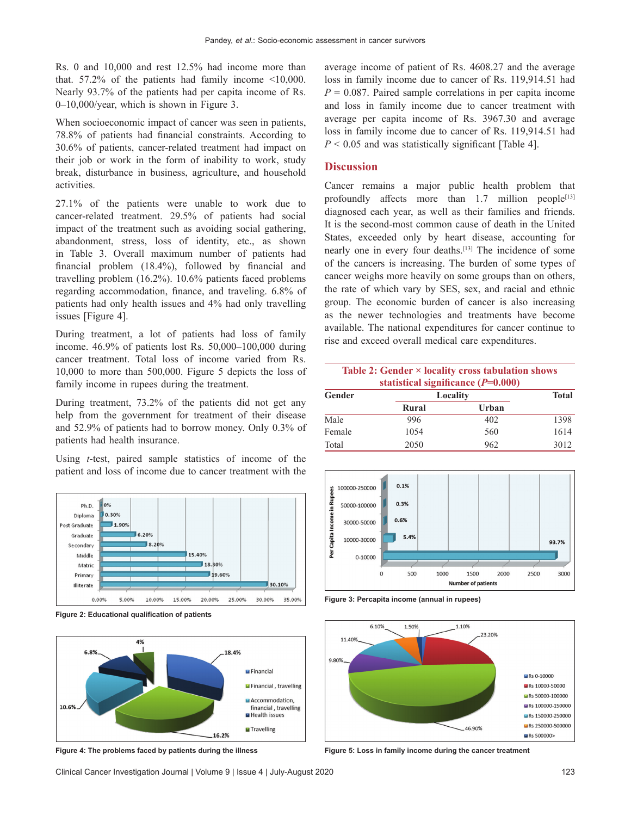Rs. 0 and 10,000 and rest 12.5% had income more than that.  $57.2\%$  of the patients had family income  $\leq 10,000$ . Nearly 93.7% of the patients had per capita income of Rs. 0–10,000/year, which is shown in Figure 3.

When socioeconomic impact of cancer was seen in patients, 78.8% of patients had financial constraints. According to 30.6% of patients, cancer‑related treatment had impact on their job or work in the form of inability to work, study break, disturbance in business, agriculture, and household activities.

27.1% of the patients were unable to work due to cancer-related treatment. 29.5% of patients had social impact of the treatment such as avoiding social gathering, abandonment, stress, loss of identity, etc., as shown in Table 3. Overall maximum number of patients had financial problem (18.4%), followed by financial and travelling problem (16.2%). 10.6% patients faced problems regarding accommodation, finance, and traveling. 6.8% of patients had only health issues and 4% had only travelling issues [Figure 4].

During treatment, a lot of patients had loss of family income. 46.9% of patients lost Rs. 50,000–100,000 during cancer treatment. Total loss of income varied from Rs. 10,000 to more than 500,000. Figure 5 depicts the loss of family income in rupees during the treatment.

During treatment, 73.2% of the patients did not get any help from the government for treatment of their disease and 52.9% of patients had to borrow money. Only 0.3% of patients had health insurance.

Using *t*‑test, paired sample statistics of income of the patient and loss of income due to cancer treatment with the



**Figure 2: Educational qualification of patients**



average income of patient of Rs. 4608.27 and the average loss in family income due to cancer of Rs. 119,914.51 had  $P = 0.087$ . Paired sample correlations in per capita income and loss in family income due to cancer treatment with average per capita income of Rs. 3967.30 and average loss in family income due to cancer of Rs. 119,914.51 had  $P < 0.05$  and was statistically significant [Table 4].

## **Discussion**

Cancer remains a major public health problem that profoundly affects more than  $1.7$  million people<sup>[13]</sup> diagnosed each year, as well as their families and friends. It is the second‑most common cause of death in the United States, exceeded only by heart disease, accounting for nearly one in every four deaths.[13] The incidence of some of the cancers is increasing. The burden of some types of cancer weighs more heavily on some groups than on others, the rate of which vary by SES, sex, and racial and ethnic group. The economic burden of cancer is also increasing as the newer technologies and treatments have become available. The national expenditures for cancer continue to rise and exceed overall medical care expenditures.

## **Table 2: Gender × locality cross tabulation shows statistical significance (***P***=0.000)**

| Gender | -<br>Locality |       | <b>Total</b> |
|--------|---------------|-------|--------------|
|        | Rural         | Urban |              |
| Male   | 996           | 402   | 1398         |
| Female | 1054          | 560   | 1614         |
| Total  | 2050          | 962   | 3012         |



**Figure 3: Percapita income (annual in rupees)**



**Figure 4: The problems faced by patients during the illness Figure 5: Loss in family income during the cancer treatment**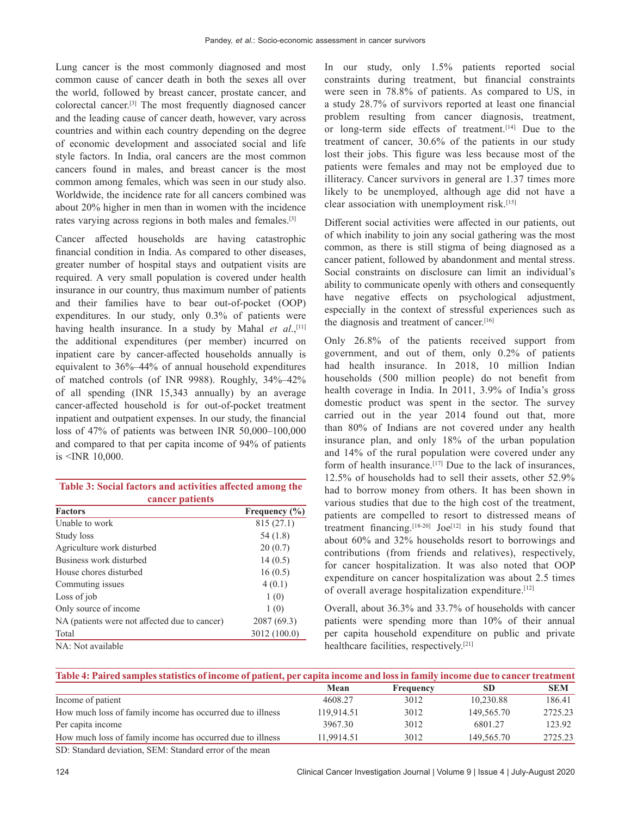Lung cancer is the most commonly diagnosed and most common cause of cancer death in both the sexes all over the world, followed by breast cancer, prostate cancer, and colorectal cancer.[3] The most frequently diagnosed cancer and the leading cause of cancer death, however, vary across countries and within each country depending on the degree of economic development and associated social and life style factors. In India, oral cancers are the most common cancers found in males, and breast cancer is the most common among females, which was seen in our study also. Worldwide, the incidence rate for all cancers combined was about 20% higher in men than in women with the incidence rates varying across regions in both males and females.[3]

Cancer affected households are having catastrophic financial condition in India. As compared to other diseases, greater number of hospital stays and outpatient visits are required. A very small population is covered under health insurance in our country, thus maximum number of patients and their families have to bear out-of-pocket (OOP) expenditures. In our study, only 0.3% of patients were having health insurance. In a study by Mahal *et al.*,<sup>[11]</sup> the additional expenditures (per member) incurred on inpatient care by cancer-affected households annually is equivalent to 36%–44% of annual household expenditures of matched controls (of INR 9988). Roughly, 34%–42% of all spending (INR 15,343 annually) by an average cancer‑affected household is for out‑of‑pocket treatment inpatient and outpatient expenses. In our study, the financial loss of 47% of patients was between INR 50,000–100,000 and compared to that per capita income of 94% of patients is <INR 10,000.

| Table 3: Social factors and activities affected among the |  |  |  |  |
|-----------------------------------------------------------|--|--|--|--|
| cancer patients                                           |  |  |  |  |

| <b>POSSESSES</b>                              |                   |  |  |  |
|-----------------------------------------------|-------------------|--|--|--|
| <b>Factors</b>                                | Frequency $(\% )$ |  |  |  |
| Unable to work                                | 815 (27.1)        |  |  |  |
| Study loss                                    | 54(1.8)           |  |  |  |
| Agriculture work disturbed                    | 20(0.7)           |  |  |  |
| Business work disturbed                       | 14(0.5)           |  |  |  |
| House chores disturbed                        | 16(0.5)           |  |  |  |
| Commuting issues                              | 4(0.1)            |  |  |  |
| Loss of job                                   | 1(0)              |  |  |  |
| Only source of income                         | 1(0)              |  |  |  |
| NA (patients were not affected due to cancer) | 2087 (69.3)       |  |  |  |
| Total                                         | 3012 (100.0)      |  |  |  |
| NA: Not available                             |                   |  |  |  |

In our study, only 1.5% patients reported social constraints during treatment, but financial constraints were seen in 78.8% of patients. As compared to US, in a study 28.7% of survivors reported at least one financial problem resulting from cancer diagnosis, treatment, or long‑term side effects of treatment.[14] Due to the treatment of cancer, 30.6% of the patients in our study lost their jobs. This figure was less because most of the patients were females and may not be employed due to illiteracy. Cancer survivors in general are 1.37 times more likely to be unemployed, although age did not have a clear association with unemployment risk.[15]

Different social activities were affected in our patients, out of which inability to join any social gathering was the most common, as there is still stigma of being diagnosed as a cancer patient, followed by abandonment and mental stress. Social constraints on disclosure can limit an individual's ability to communicate openly with others and consequently have negative effects on psychological adjustment, especially in the context of stressful experiences such as the diagnosis and treatment of cancer.<sup>[16]</sup>

Only 26.8% of the patients received support from government, and out of them, only 0.2% of patients had health insurance. In 2018, 10 million Indian households (500 million people) do not benefit from health coverage in India. In 2011, 3.9% of India's gross domestic product was spent in the sector. The survey carried out in the year 2014 found out that, more than 80% of Indians are not covered under any health insurance plan, and only 18% of the urban population and 14% of the rural population were covered under any form of health insurance.<sup>[17]</sup> Due to the lack of insurances, 12.5% of households had to sell their assets, other 52.9% had to borrow money from others. It has been shown in various studies that due to the high cost of the treatment, patients are compelled to resort to distressed means of treatment financing.<sup>[18-20]</sup> Joe<sup>[12]</sup> in his study found that about 60% and 32% households resort to borrowings and contributions (from friends and relatives), respectively, for cancer hospitalization. It was also noted that OOP expenditure on cancer hospitalization was about 2.5 times of overall average hospitalization expenditure.[12]

Overall, about 36.3% and 33.7% of households with cancer patients were spending more than 10% of their annual per capita household expenditure on public and private healthcare facilities, respectively.[21]

| Table 4: Paired samples statistics of income of patient, per capita income and loss in family income due to cancer treatment |            |           |            |            |  |
|------------------------------------------------------------------------------------------------------------------------------|------------|-----------|------------|------------|--|
|                                                                                                                              | Mean       | Frequency | <b>SD</b>  | <b>SEM</b> |  |
| Income of patient                                                                                                            | 4608.27    | 3012      | 10.230.88  | 186.41     |  |
| How much loss of family income has occurred due to illness                                                                   | 119.914.51 | 3012      | 149,565.70 | 2725.23    |  |
| Per capita income                                                                                                            | 3967.30    | 3012      | 6801.27    | 123.92     |  |
| How much loss of family income has occurred due to illness                                                                   | 11.9914.51 | 3012      | 149,565.70 | 2725.23    |  |
| CD. Standard daviotion, CEM. Standard among of the magan                                                                     |            |           |            |            |  |

SD: Standard deviation, SEM: Standard error of the mean